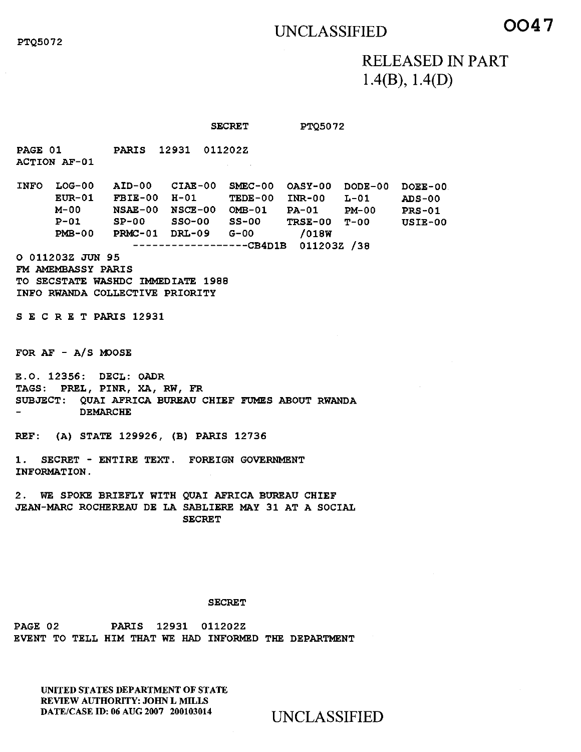## UNCLASSIFIED **0047**

## RELEASED IN PART 1.4(B), 1.4(D)

SECRET PTQ5072

PARIS 12931 011202Z PAGE 01 ACTION AF-01

INFO LOG-00 AID-00 CIAE-00 SMEC-00 OASY-00 DODE-00 DOEE-00 FBIE-00 H-01 TEDE-00 INR-00 L-01 ADS-00 NSAE-00 NSCE-00 OMB-01 PA-01 PM-00 PRS-01 SP-00 SSO-00 SS-00 TRSE-00 T-00 USIE-00 PRMC-01 DRL-09 G-00 /018W -----------------CB4D1B 011203Z /38 EUR-01 FBIE-00 H-01 M-00 P-01 PMB-00

0 011203Z JUN 95 FM AMEMBASSY PARIS TO SECSTATE WASHDC IMMEDIATE 1988 INFO RWANDA COLLECTIVE PRIORITY

SECRETPARIS 12931

FOR AF - A/S MOOSE

E.O. 12356: DECL: OADR TAGS: PREL, PINR, XA, RW, FR SUBJECT: QUAI AFRICA BUREAU CHIEF FUMES ABOUT RWANDA DEMARCHE

REF: (A) STATE 129926, (B) PARIS 12736

1. SECRET - ENTIRE TEXT. FOREIGN GOVERNMENT INFORMATION.

2. WE SPOKE BRIEFLY WITH QUAI AFRICA BUREAU CHIEF JEAN-MARC ROCHEREAU DE LA SABLIERE MAY 31 AT A SOCIAL SECRET

## SECRET

PAGE 02 PARIS 12931 011202Z EVENT TO TELL HIM THAT WE HAD INFORMED THE DEPARTMENT

UNITED STATES DEPARTMENT OF STATE REVIEW AUTHORITY: JOHN L MILLS<br>DATE/CASE ID: 06 AUG 2007 200103014

UNCLASSIFIED